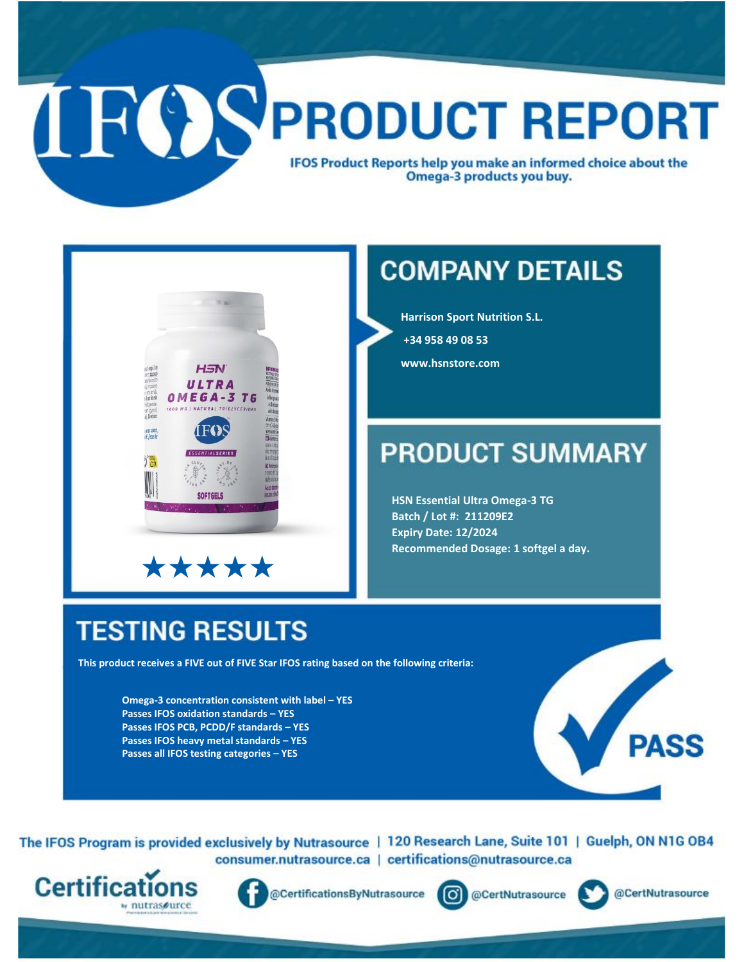## **IFOSPRODUCT REPORT IFOS Product Reports help you make an informed choice about the** Omega-3 products you buy.



#### **COMPANY DETAILS**

**Harrison Sport Nutrition S.L.** 

**+34 958 49 08 53** 

**www.hsnstore.com**

#### **PRODUCT SUMMARY**

**HSN Essential Ultra Omega-3 TG Batch / Lot #: 211209E2 Expiry Date: 12/2024 Recommended Dosage: 1 softgel a day.**

### **TESTING RESULTS**

**This product receives a FIVE out of FIVE Star IFOS rating based on the following criteria:**

**Omega-3 concentration consistent with label – YES Passes IFOS oxidation standards – YES Passes IFOS PCB, PCDD/F standards – YES Passes IFOS heavy metal standards – YES Passes all IFOS testing categories – YES**



The IFOS Program is provided exclusively by Nutrasource | 120 Research Lane, Suite 101 | Guelph, ON N1G OB4 consumer.nutrasource.ca | certifications@nutrasource.ca





@CertificationsByNutrasource



@CertNutrasource